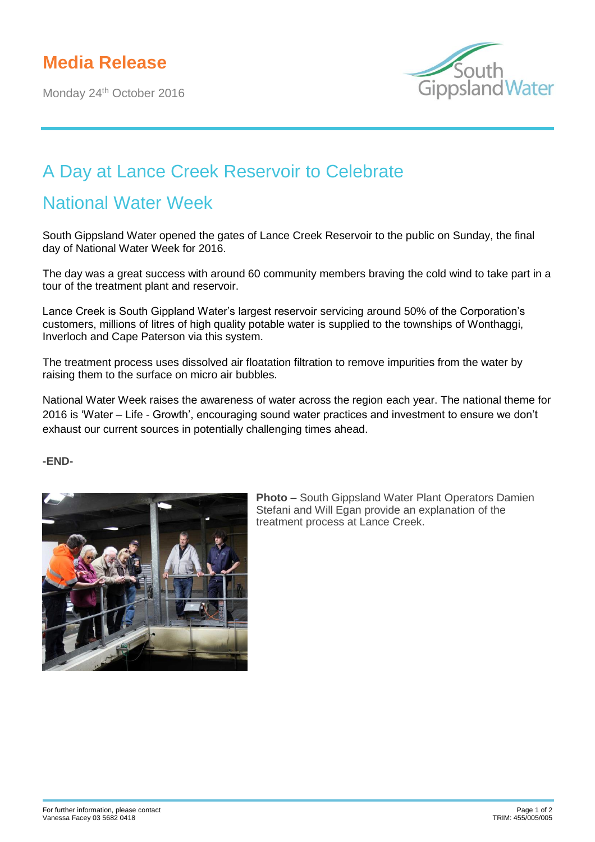Monday 24<sup>th</sup> October 2016



## A Day at Lance Creek Reservoir to Celebrate

## National Water Week

South Gippsland Water opened the gates of Lance Creek Reservoir to the public on Sunday, the final day of National Water Week for 2016.

The day was a great success with around 60 community members braving the cold wind to take part in a tour of the treatment plant and reservoir.

Lance Creek is South Gippland Water's largest reservoir servicing around 50% of the Corporation's customers, millions of litres of high quality potable water is supplied to the townships of Wonthaggi, Inverloch and Cape Paterson via this system.

The treatment process uses dissolved air floatation filtration to remove impurities from the water by raising them to the surface on micro air bubbles.

National Water Week raises the awareness of water across the region each year. The national theme for 2016 is 'Water – Life - Growth', encouraging sound water practices and investment to ensure we don't exhaust our current sources in potentially challenging times ahead.

**-END-**



**Photo –** South Gippsland Water Plant Operators Damien Stefani and Will Egan provide an explanation of the treatment process at Lance Creek.